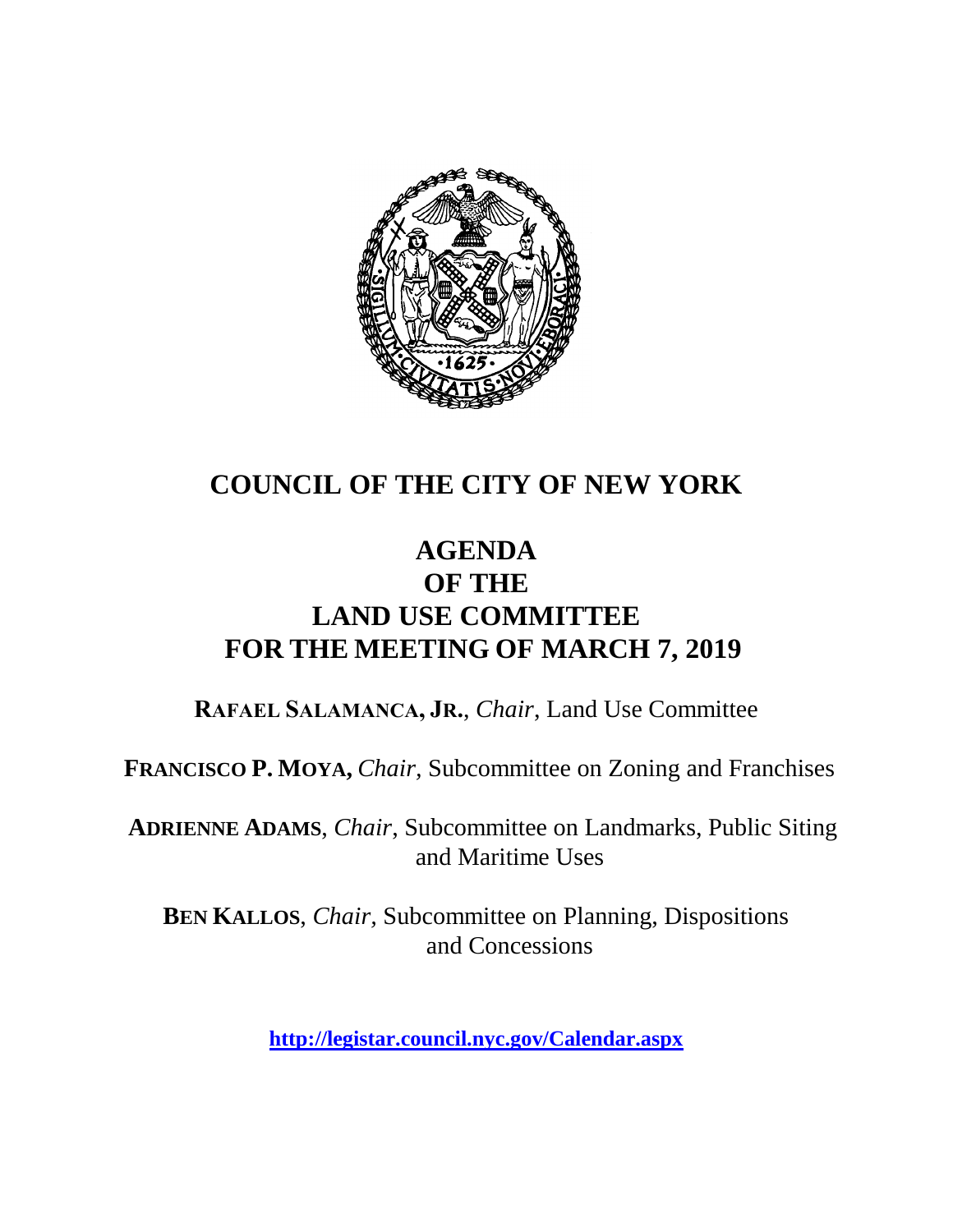

# **COUNCIL OF THE CITY OF NEW YORK**

### **AGENDA OF THE LAND USE COMMITTEE FOR THE MEETING OF MARCH 7, 2019**

**RAFAEL SALAMANCA, JR.**, *Chair*, Land Use Committee

**FRANCISCO P. MOYA,** *Chair,* Subcommittee on Zoning and Franchises

**ADRIENNE ADAMS**, *Chair*, Subcommittee on Landmarks, Public Siting and Maritime Uses

**BEN KALLOS**, *Chair,* Subcommittee on Planning, Dispositions and Concessions

**<http://legistar.council.nyc.gov/Calendar.aspx>**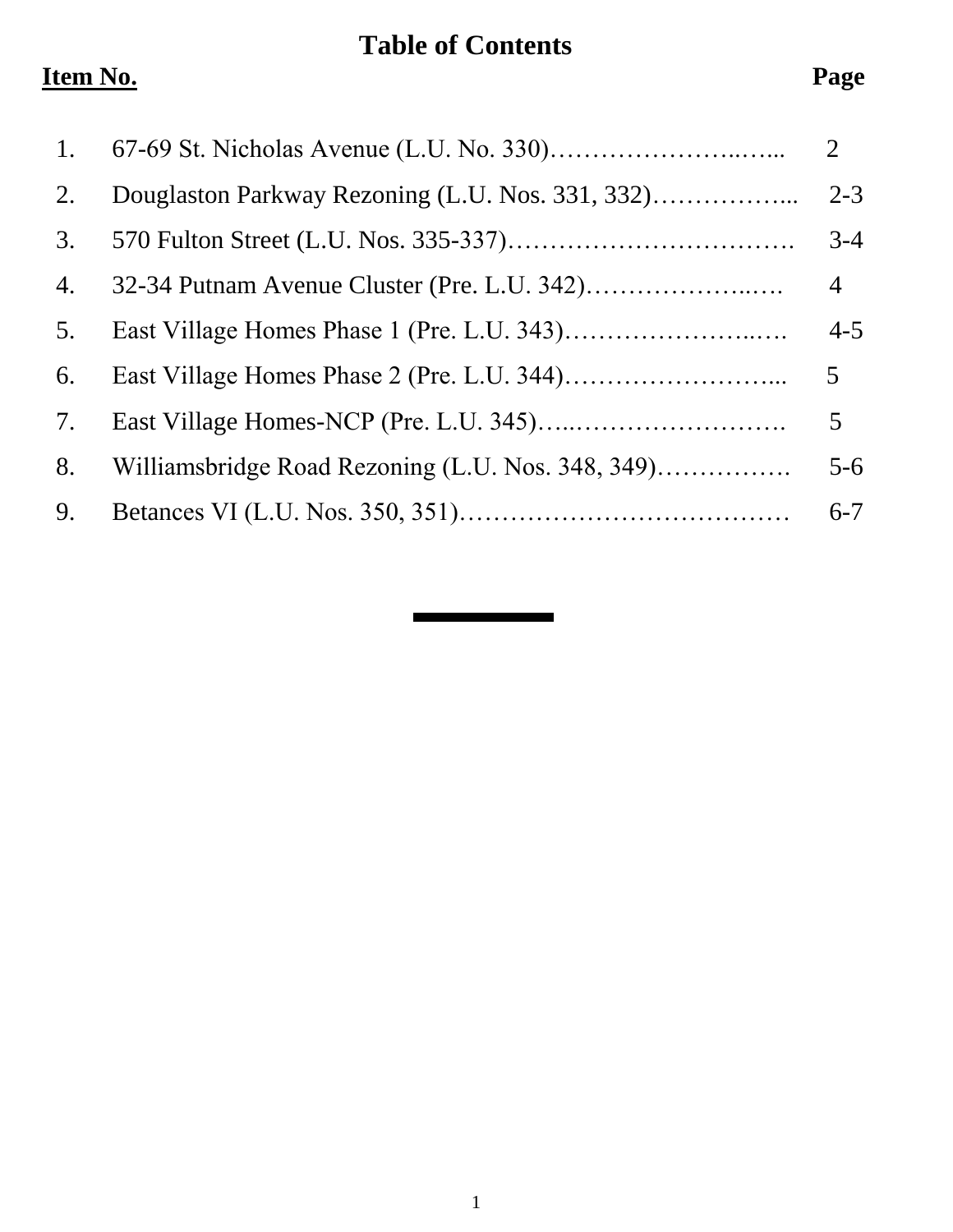# **Table of Contents**

# **Item No. Page**

| 1. |                                                   | $\overline{2}$ |
|----|---------------------------------------------------|----------------|
| 2. |                                                   | $2 - 3$        |
| 3. |                                                   | $3 - 4$        |
| 4. |                                                   | $\overline{4}$ |
| 5. |                                                   | $4 - 5$        |
| 6. |                                                   | 5 <sup>5</sup> |
| 7. |                                                   | 5 <sup>5</sup> |
| 8. | Williamsbridge Road Rezoning (L.U. Nos. 348, 349) | $5 - 6$        |
| 9. |                                                   | $6 - 7$        |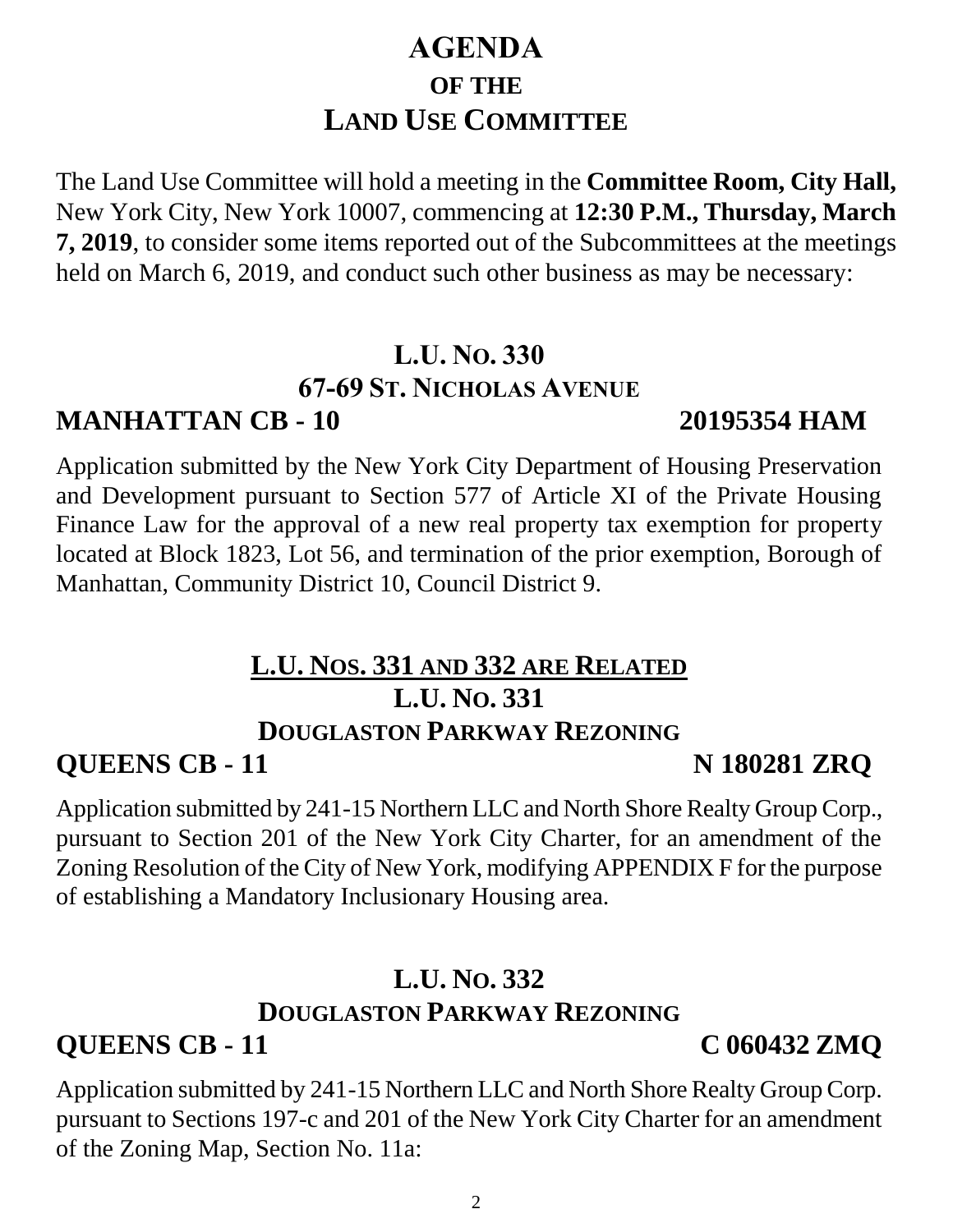# 2

# **AGENDA OF THE LAND USE COMMITTEE**

The Land Use Committee will hold a meeting in the **Committee Room, City Hall,**  New York City, New York 10007, commencing at **12:30 P.M., Thursday, March 7, 2019**, to consider some items reported out of the Subcommittees at the meetings held on March 6, 2019, and conduct such other business as may be necessary:

# **L.U. NO. 330 67-69 ST. NICHOLAS AVENUE**

Application submitted by the New York City Department of Housing Preservation and Development pursuant to Section 577 of Article XI of the Private Housing Finance Law for the approval of a new real property tax exemption for property located at Block 1823, Lot 56, and termination of the prior exemption, Borough of Manhattan, Community District 10, Council District 9.

# **L.U. NOS. 331 AND 332 ARE RELATED L.U. NO. 331**

### **DOUGLASTON PARKWAY REZONING**

**QUEENS CB - 11 N 180281 ZRQ**

Application submitted by 241-15 Northern LLC and North Shore Realty Group Corp., pursuant to Section 201 of the New York City Charter, for an amendment of the Zoning Resolution of the City of New York, modifying APPENDIX F for the purpose of establishing a Mandatory Inclusionary Housing area.

### **L.U. NO. 332 DOUGLASTON PARKWAY REZONING**

# **QUEENS CB - 11 C 060432 ZMQ**

Application submitted by 241-15 Northern LLC and North Shore Realty Group Corp. pursuant to Sections 197-c and 201 of the New York City Charter for an amendment of the Zoning Map, Section No. 11a:

### **MANHATTAN CB - 10 20195354 HAM**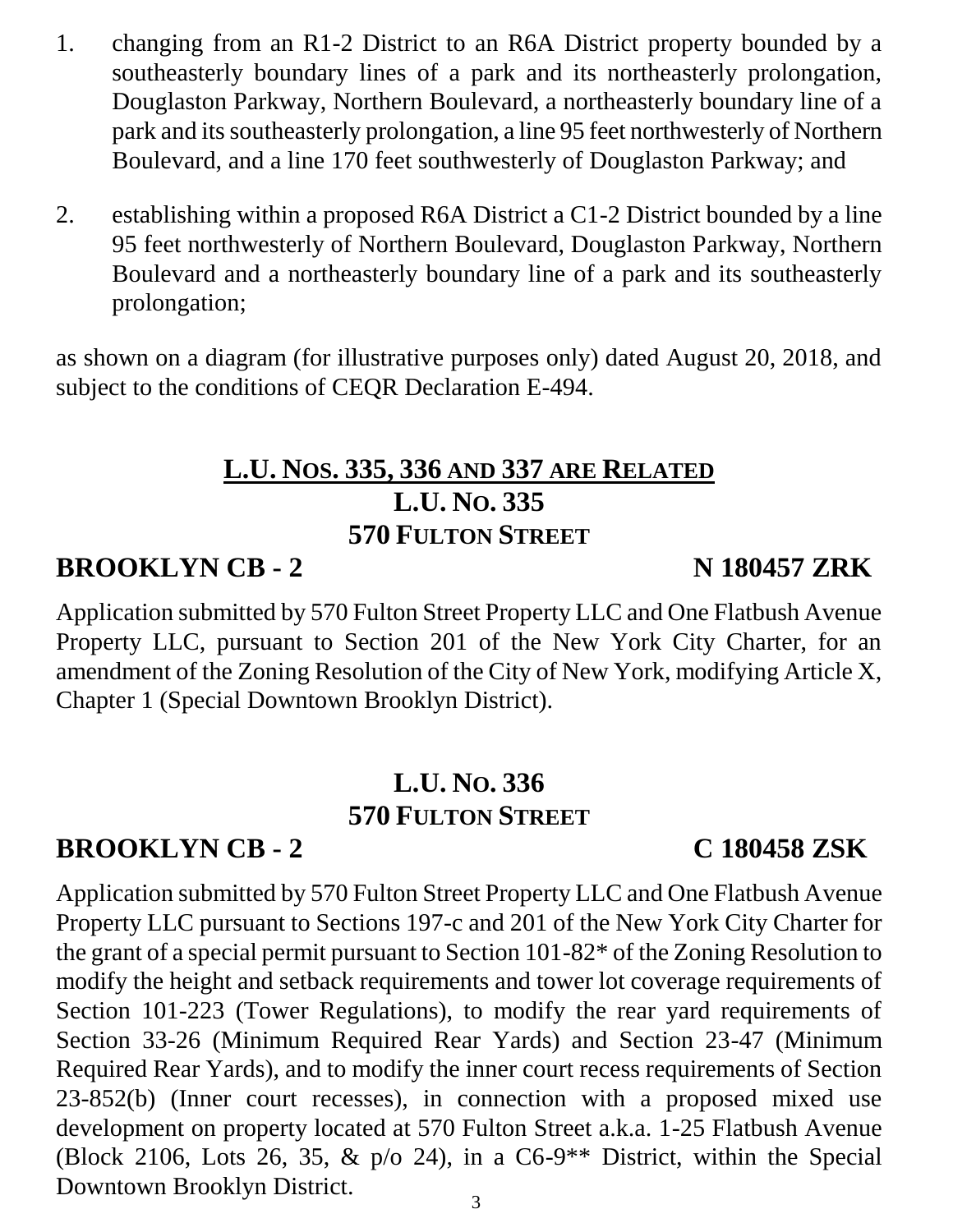- 1. changing from an R1-2 District to an R6A District property bounded by a southeasterly boundary lines of a park and its northeasterly prolongation, Douglaston Parkway, Northern Boulevard, a northeasterly boundary line of a park and its southeasterly prolongation, a line 95 feet northwesterly of Northern Boulevard, and a line 170 feet southwesterly of Douglaston Parkway; and
- 2. establishing within a proposed R6A District a C1-2 District bounded by a line 95 feet northwesterly of Northern Boulevard, Douglaston Parkway, Northern Boulevard and a northeasterly boundary line of a park and its southeasterly prolongation;

as shown on a diagram (for illustrative purposes only) dated August 20, 2018, and subject to the conditions of CEQR Declaration E-494.

### **L.U. NOS. 335, 336 AND 337 ARE RELATED L.U. NO. 335 570 FULTON STREET**

# **BROOKLYN CB - 2 N 180457 ZRK**

Application submitted by 570 Fulton Street Property LLC and One Flatbush Avenue Property LLC, pursuant to Section 201 of the New York City Charter, for an amendment of the Zoning Resolution of the City of New York, modifying Article X, Chapter 1 (Special Downtown Brooklyn District).

# **L.U. NO. 336 570 FULTON STREET**

# **BROOKLYN CB - 2 C 180458 ZSK**

Application submitted by 570 Fulton Street Property LLC and One Flatbush Avenue Property LLC pursuant to Sections 197-c and 201 of the New York City Charter for the grant of a special permit pursuant to Section 101-82\* of the Zoning Resolution to modify the height and setback requirements and tower lot coverage requirements of Section 101-223 (Tower Regulations), to modify the rear yard requirements of Section 33-26 (Minimum Required Rear Yards) and Section 23-47 (Minimum Required Rear Yards), and to modify the inner court recess requirements of Section 23-852(b) (Inner court recesses), in connection with a proposed mixed use development on property located at 570 Fulton Street a.k.a. 1-25 Flatbush Avenue (Block 2106, Lots 26, 35,  $\&$  p/o 24), in a C6-9<sup>\*\*</sup> District, within the Special Downtown Brooklyn District.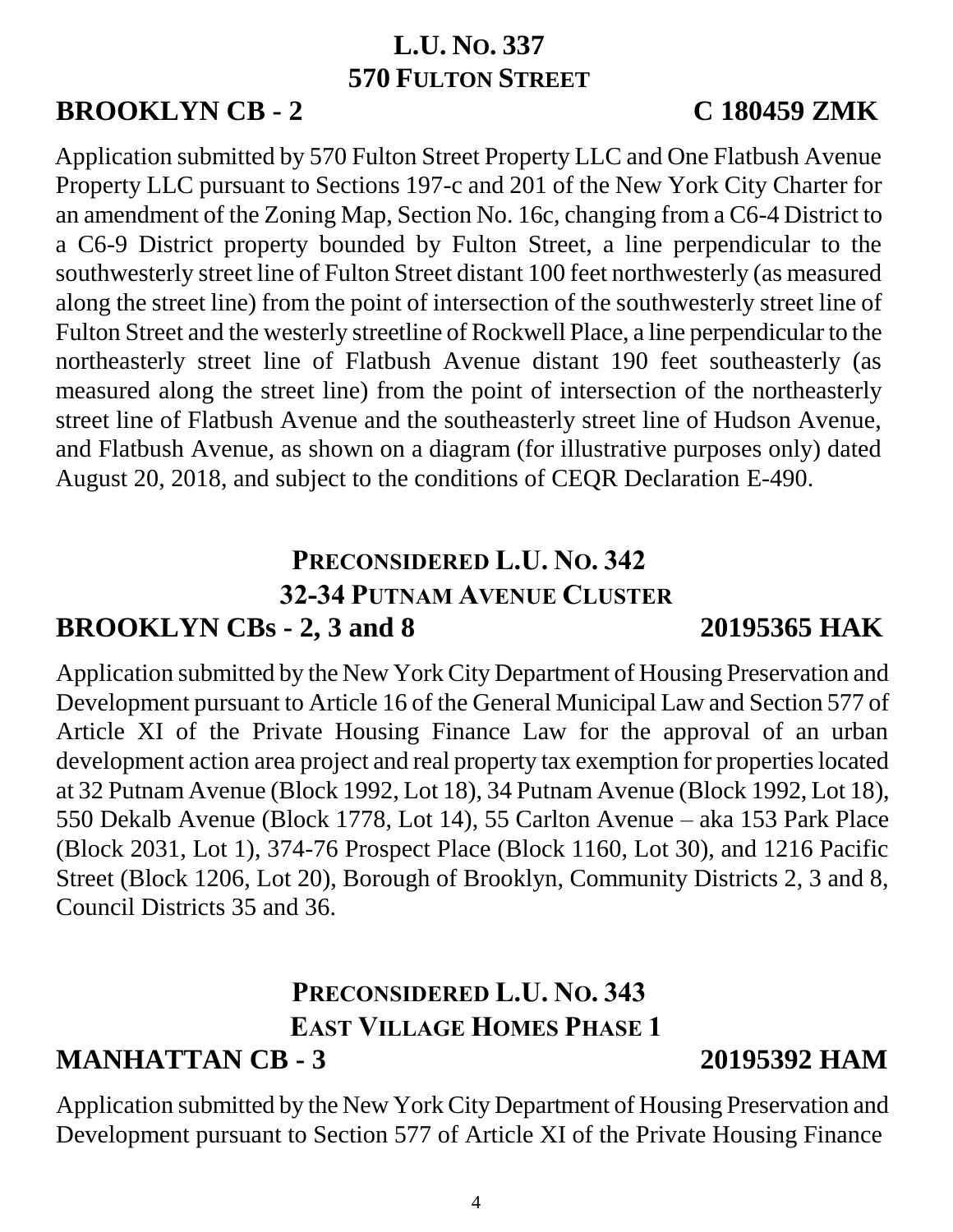### **L.U. NO. 337 570 FULTON STREET**

# **BROOKLYN CB - 2 C 180459 ZMK**

Application submitted by 570 Fulton Street Property LLC and One Flatbush Avenue Property LLC pursuant to Sections 197-c and 201 of the New York City Charter for an amendment of the Zoning Map, Section No. 16c, changing from a C6-4 District to a C6-9 District property bounded by Fulton Street, a line perpendicular to the southwesterly street line of Fulton Street distant 100 feet northwesterly (as measured along the street line) from the point of intersection of the southwesterly street line of Fulton Street and the westerly streetline of Rockwell Place, a line perpendicular to the northeasterly street line of Flatbush Avenue distant 190 feet southeasterly (as measured along the street line) from the point of intersection of the northeasterly street line of Flatbush Avenue and the southeasterly street line of Hudson Avenue, and Flatbush Avenue, as shown on a diagram (for illustrative purposes only) dated August 20, 2018, and subject to the conditions of CEQR Declaration E-490.

### **PRECONSIDERED L.U. NO. 342 32-34 PUTNAM AVENUE CLUSTER BROOKLYN CBs - 2, 3 and 8 20195365 HAK**

Application submitted by the New York City Department of Housing Preservation and Development pursuant to Article 16 of the General Municipal Law and Section 577 of Article XI of the Private Housing Finance Law for the approval of an urban development action area project and real property tax exemption for properties located at 32 Putnam Avenue (Block 1992, Lot 18), 34 Putnam Avenue (Block 1992, Lot 18), 550 Dekalb Avenue (Block 1778, Lot 14), 55 Carlton Avenue – aka 153 Park Place (Block 2031, Lot 1), 374-76 Prospect Place (Block 1160, Lot 30), and 1216 Pacific Street (Block 1206, Lot 20), Borough of Brooklyn, Community Districts 2, 3 and 8, Council Districts 35 and 36.

### **PRECONSIDERED L.U. NO. 343 EAST VILLAGE HOMES PHASE 1 MANHATTAN CB - 3 20195392 HAM**

Application submitted by the New York City Department of Housing Preservation and Development pursuant to Section 577 of Article XI of the Private Housing Finance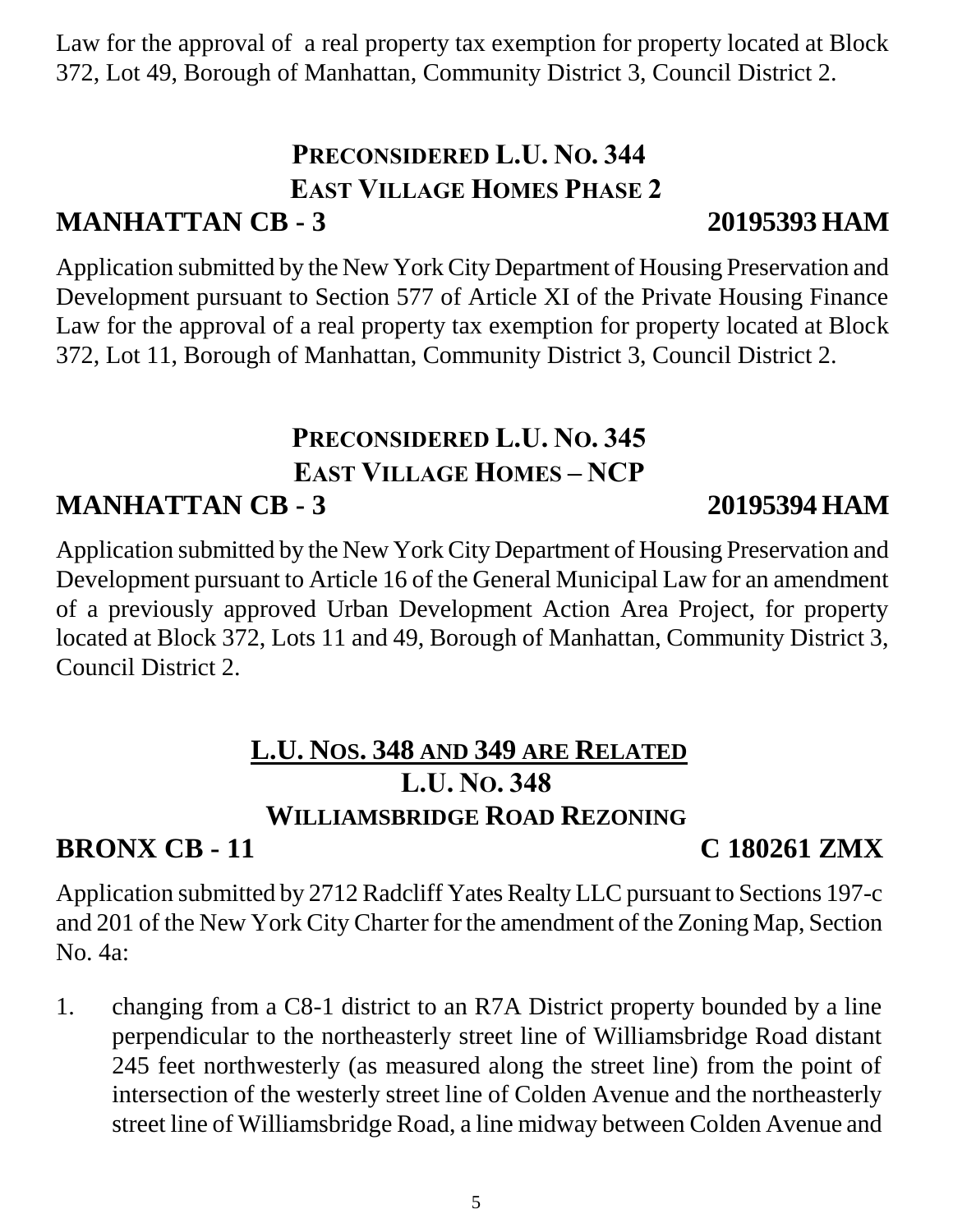5

Law for the approval of a real property tax exemption for property located at Block 372, Lot 49, Borough of Manhattan, Community District 3, Council District 2.

### **PRECONSIDERED L.U. NO. 344 EAST VILLAGE HOMES PHASE 2 MANHATTAN CB - 3 20195393 HAM**

Application submitted by the New York City Department of Housing Preservation and Development pursuant to Section 577 of Article XI of the Private Housing Finance Law for the approval of a real property tax exemption for property located at Block 372, Lot 11, Borough of Manhattan, Community District 3, Council District 2.

# **PRECONSIDERED L.U. NO. 345 EAST VILLAGE HOMES – NCP MANHATTAN CB - 3 20195394 HAM**

Application submitted by the New York City Department of Housing Preservation and Development pursuant to Article 16 of the General Municipal Law for an amendment of a previously approved Urban Development Action Area Project, for property located at Block 372, Lots 11 and 49, Borough of Manhattan, Community District 3, Council District 2.

# **L.U. NOS. 348 AND 349 ARE RELATED L.U. NO. 348 WILLIAMSBRIDGE ROAD REZONING**

# **BRONX CB - 11 C 180261 ZMX**

Application submitted by 2712 Radcliff Yates Realty LLC pursuant to Sections 197-c and 201 of the New York City Charter for the amendment of the Zoning Map, Section No. 4a:

1. changing from a C8-1 district to an R7A District property bounded by a line perpendicular to the northeasterly street line of Williamsbridge Road distant 245 feet northwesterly (as measured along the street line) from the point of intersection of the westerly street line of Colden Avenue and the northeasterly street line of Williamsbridge Road, a line midway between Colden Avenue and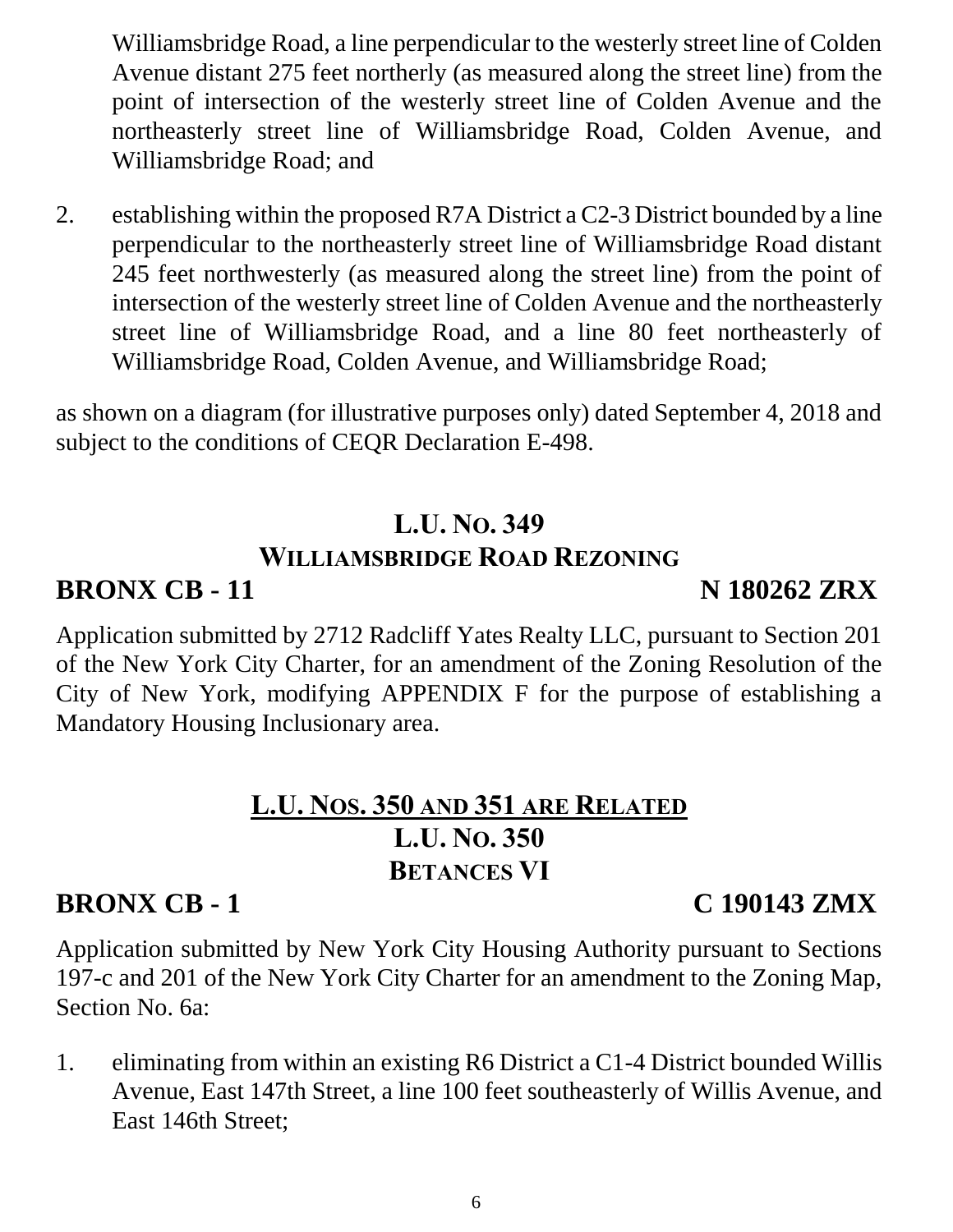Williamsbridge Road, a line perpendicular to the westerly street line of Colden Avenue distant 275 feet northerly (as measured along the street line) from the point of intersection of the westerly street line of Colden Avenue and the northeasterly street line of Williamsbridge Road, Colden Avenue, and Williamsbridge Road; and

2. establishing within the proposed R7A District a C2-3 District bounded by a line perpendicular to the northeasterly street line of Williamsbridge Road distant 245 feet northwesterly (as measured along the street line) from the point of intersection of the westerly street line of Colden Avenue and the northeasterly street line of Williamsbridge Road, and a line 80 feet northeasterly of Williamsbridge Road, Colden Avenue, and Williamsbridge Road;

as shown on a diagram (for illustrative purposes only) dated September 4, 2018 and subject to the conditions of CEQR Declaration E-498.

# **L.U. NO. 349 WILLIAMSBRIDGE ROAD REZONING**

# **BRONX CB - 11 N 180262 ZRX**

Application submitted by 2712 Radcliff Yates Realty LLC, pursuant to Section 201 of the New York City Charter, for an amendment of the Zoning Resolution of the City of New York, modifying APPENDIX F for the purpose of establishing a Mandatory Housing Inclusionary area.

# **L.U. NOS. 350 AND 351 ARE RELATED L.U. NO. 350 BETANCES VI**

# **BRONX CB - 1 C 190143 ZMX**

Application submitted by New York City Housing Authority pursuant to Sections 197-c and 201 of the New York City Charter for an amendment to the Zoning Map, Section No. 6a:

1. eliminating from within an existing R6 District a C1-4 District bounded Willis Avenue, East 147th Street, a line 100 feet southeasterly of Willis Avenue, and East 146th Street;